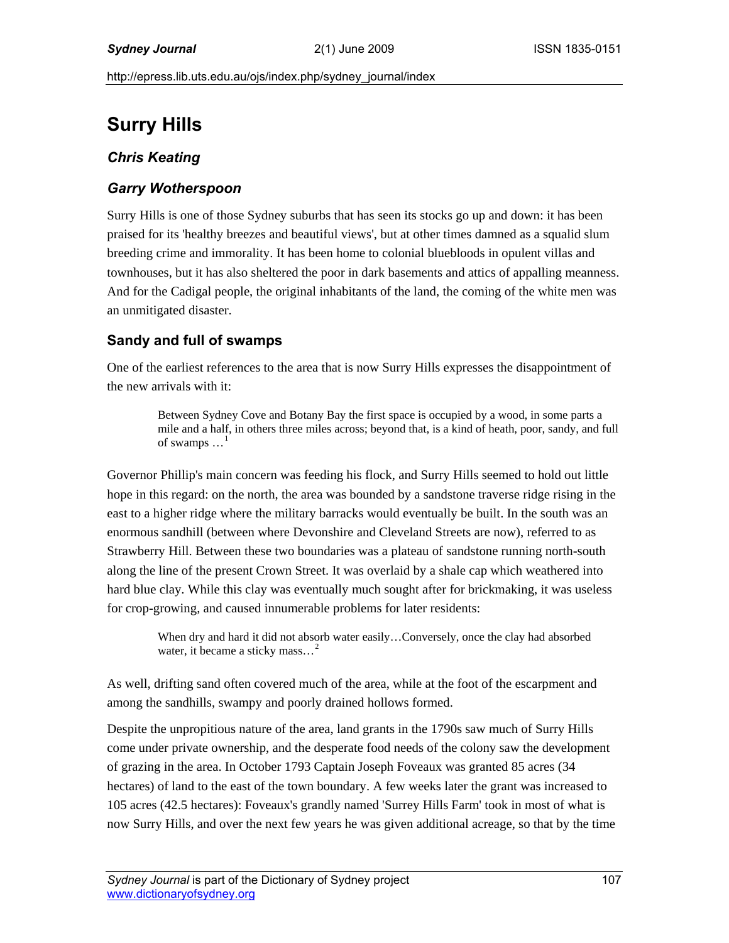http://epress.lib.uts.edu.au/ojs/index.php/sydney\_journal/index

# **Surry Hills**

## *Chris Keating*

## *Garry Wotherspoon*

Surry Hills is one of those Sydney suburbs that has seen its stocks go up and down: it has been praised for its 'healthy breezes and beautiful views', but at other times damned as a squalid slum breeding crime and immorality. It has been home to colonial bluebloods in opulent villas and townhouses, but it has also sheltered the poor in dark basements and attics of appalling meanness. And for the Cadigal people, the original inhabitants of the land, the coming of the white men was an unmitigated disaster.

## **Sandy and full of swamps**

One of the earliest references to the area that is now Surry Hills expresses the disappointment of the new arrivals with it:

Between Sydney Cove and Botany Bay the first space is occupied by a wood, in some parts a mile and a half, in others three miles across; beyond that, is a kind of heath, poor, sandy, and full of swamps  $\dots$ <sup>[1](#page-9-0)</sup>

Governor Phillip's main concern was feeding his flock, and Surry Hills seemed to hold out little hope in this regard: on the north, the area was bounded by a sandstone traverse ridge rising in the east to a higher ridge where the military barracks would eventually be built. In the south was an enormous sandhill (between where Devonshire and Cleveland Streets are now), referred to as Strawberry Hill. Between these two boundaries was a plateau of sandstone running north-south along the line of the present Crown Street. It was overlaid by a shale cap which weathered into hard blue clay. While this clay was eventually much sought after for brickmaking, it was useless for crop-growing, and caused innumerable problems for later residents:

When dry and hard it did not absorb water easily…Conversely, once the clay had absorbed water, it became a sticky mass...<sup>[2](#page-9-1)</sup>

As well, drifting sand often covered much of the area, while at the foot of the escarpment and among the sandhills, swampy and poorly drained hollows formed.

Despite the unpropitious nature of the area, land grants in the 1790s saw much of Surry Hills come under private ownership, and the desperate food needs of the colony saw the development of grazing in the area. In October 1793 Captain Joseph Foveaux was granted 85 acres (34 hectares) of land to the east of the town boundary. A few weeks later the grant was increased to 105 acres (42.5 hectares): Foveaux's grandly named 'Surrey Hills Farm' took in most of what is now Surry Hills, and over the next few years he was given additional acreage, so that by the time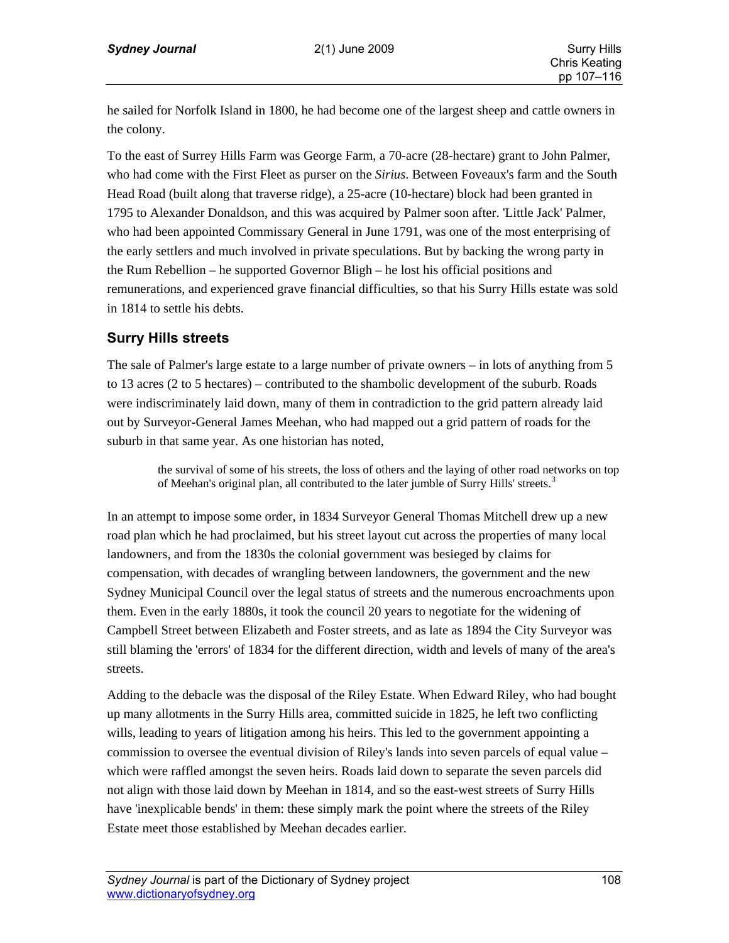he sailed for Norfolk Island in 1800, he had become one of the largest sheep and cattle owners in the colony.

To the east of Surrey Hills Farm was George Farm, a 70-acre (28-hectare) grant to John Palmer, who had come with the First Fleet as purser on the *Sirius*. Between Foveaux's farm and the South Head Road (built along that traverse ridge), a 25-acre (10-hectare) block had been granted in 1795 to Alexander Donaldson, and this was acquired by Palmer soon after. 'Little Jack' Palmer, who had been appointed Commissary General in June 1791, was one of the most enterprising of the early settlers and much involved in private speculations. But by backing the wrong party in the Rum Rebellion – he supported Governor Bligh – he lost his official positions and remunerations, and experienced grave financial difficulties, so that his Surry Hills estate was sold in 1814 to settle his debts.

#### **Surry Hills streets**

The sale of Palmer's large estate to a large number of private owners – in lots of anything from 5 to 13 acres (2 to 5 hectares) – contributed to the shambolic development of the suburb. Roads were indiscriminately laid down, many of them in contradiction to the grid pattern already laid out by Surveyor-General James Meehan, who had mapped out a grid pattern of roads for the suburb in that same year. As one historian has noted,

the survival of some of his streets, the loss of others and the laying of other road networks on top of Meehan's original plan, all contributed to the later jumble of Surry Hills' streets.<sup>[3](#page-9-1)</sup>

In an attempt to impose some order, in 1834 Surveyor General Thomas Mitchell drew up a new road plan which he had proclaimed, but his street layout cut across the properties of many local landowners, and from the 1830s the colonial government was besieged by claims for compensation, with decades of wrangling between landowners, the government and the new Sydney Municipal Council over the legal status of streets and the numerous encroachments upon them. Even in the early 1880s, it took the council 20 years to negotiate for the widening of Campbell Street between Elizabeth and Foster streets, and as late as 1894 the City Surveyor was still blaming the 'errors' of 1834 for the different direction, width and levels of many of the area's streets.

Adding to the debacle was the disposal of the Riley Estate. When Edward Riley, who had bought up many allotments in the Surry Hills area, committed suicide in 1825, he left two conflicting wills, leading to years of litigation among his heirs. This led to the government appointing a commission to oversee the eventual division of Riley's lands into seven parcels of equal value – which were raffled amongst the seven heirs. Roads laid down to separate the seven parcels did not align with those laid down by Meehan in 1814, and so the east-west streets of Surry Hills have 'inexplicable bends' in them: these simply mark the point where the streets of the Riley Estate meet those established by Meehan decades earlier.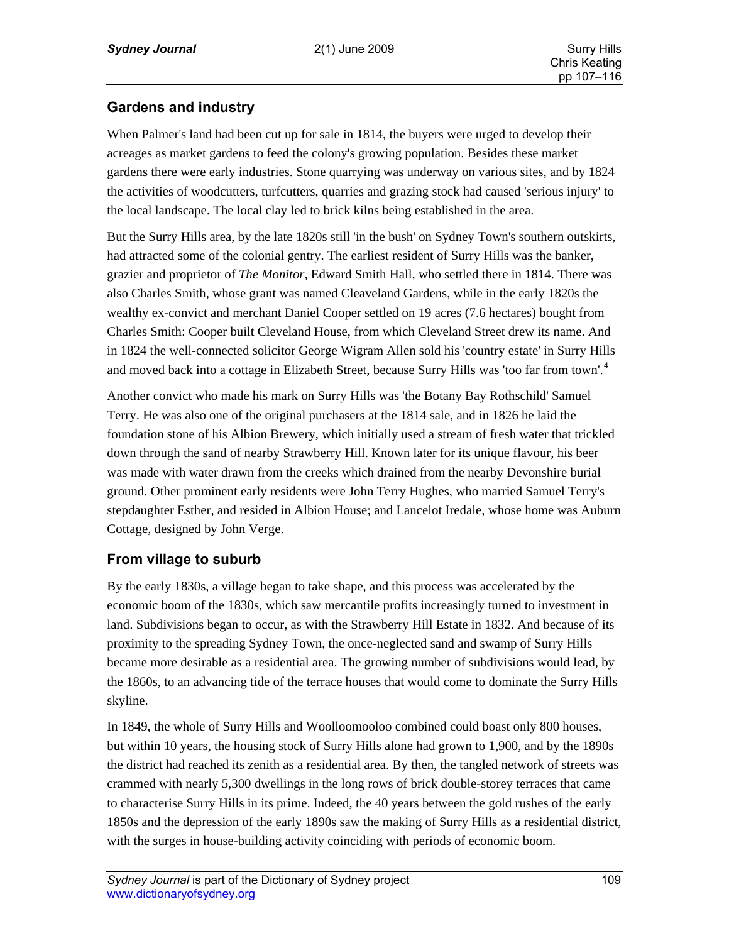# **Gardens and industry**

When Palmer's land had been cut up for sale in 1814, the buyers were urged to develop their acreages as market gardens to feed the colony's growing population. Besides these market gardens there were early industries. Stone quarrying was underway on various sites, and by 1824 the activities of woodcutters, turfcutters, quarries and grazing stock had caused 'serious injury' to the local landscape. The local clay led to brick kilns being established in the area.

But the Surry Hills area, by the late 1820s still 'in the bush' on Sydney Town's southern outskirts, had attracted some of the colonial gentry. The earliest resident of Surry Hills was the banker, grazier and proprietor of *The Monitor*, Edward Smith Hall, who settled there in 1814. There was also Charles Smith, whose grant was named Cleaveland Gardens, while in the early 1820s the wealthy ex-convict and merchant Daniel Cooper settled on 19 acres (7.6 hectares) bought from Charles Smith: Cooper built Cleveland House, from which Cleveland Street drew its name. And in 1824 the well-connected solicitor George Wigram Allen sold his 'country estate' in Surry Hills and moved back into a cottage in Elizabeth Street, because Surry Hills was 'too far from town'.<sup>[4](#page-9-1)</sup>

Another convict who made his mark on Surry Hills was 'the Botany Bay Rothschild' Samuel Terry. He was also one of the original purchasers at the 1814 sale, and in 1826 he laid the foundation stone of his Albion Brewery, which initially used a stream of fresh water that trickled down through the sand of nearby Strawberry Hill. Known later for its unique flavour, his beer was made with water drawn from the creeks which drained from the nearby Devonshire burial ground. Other prominent early residents were John Terry Hughes, who married Samuel Terry's stepdaughter Esther, and resided in Albion House; and Lancelot Iredale, whose home was Auburn Cottage, designed by John Verge.

# **From village to suburb**

By the early 1830s, a village began to take shape, and this process was accelerated by the economic boom of the 1830s, which saw mercantile profits increasingly turned to investment in land. Subdivisions began to occur, as with the Strawberry Hill Estate in 1832. And because of its proximity to the spreading Sydney Town, the once-neglected sand and swamp of Surry Hills became more desirable as a residential area. The growing number of subdivisions would lead, by the 1860s, to an advancing tide of the terrace houses that would come to dominate the Surry Hills skyline.

In 1849, the whole of Surry Hills and Woolloomooloo combined could boast only 800 houses, but within 10 years, the housing stock of Surry Hills alone had grown to 1,900, and by the 1890s the district had reached its zenith as a residential area. By then, the tangled network of streets was crammed with nearly 5,300 dwellings in the long rows of brick double-storey terraces that came to characterise Surry Hills in its prime. Indeed, the 40 years between the gold rushes of the early 1850s and the depression of the early 1890s saw the making of Surry Hills as a residential district, with the surges in house-building activity coinciding with periods of economic boom.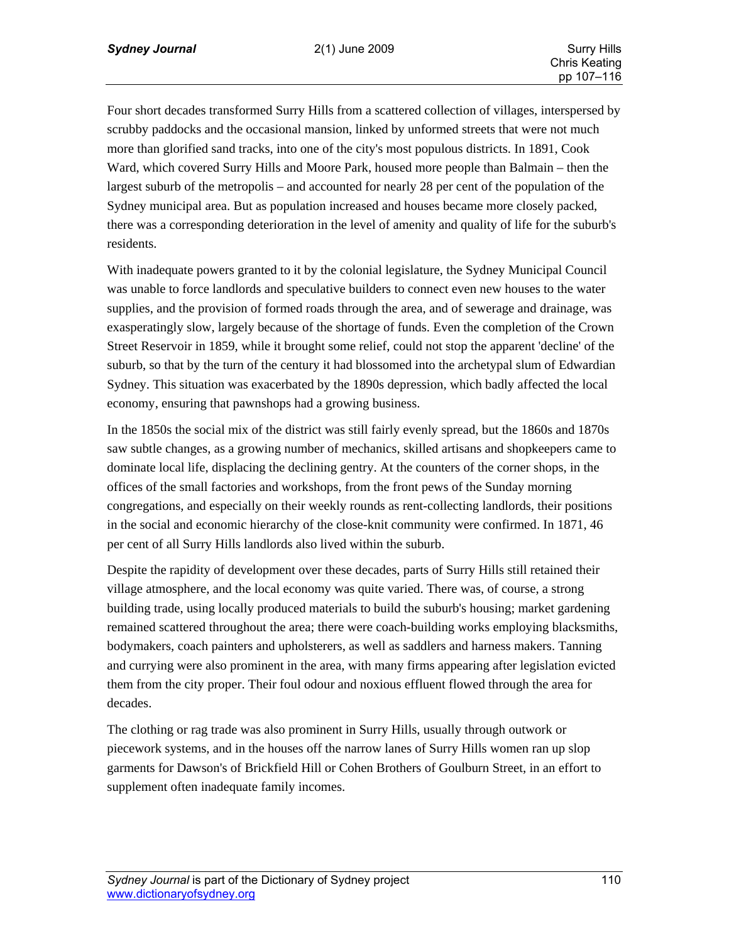Four short decades transformed Surry Hills from a scattered collection of villages, interspersed by scrubby paddocks and the occasional mansion, linked by unformed streets that were not much more than glorified sand tracks, into one of the city's most populous districts. In 1891, Cook Ward, which covered Surry Hills and Moore Park, housed more people than Balmain – then the largest suburb of the metropolis – and accounted for nearly 28 per cent of the population of the Sydney municipal area. But as population increased and houses became more closely packed, there was a corresponding deterioration in the level of amenity and quality of life for the suburb's residents.

With inadequate powers granted to it by the colonial legislature, the Sydney Municipal Council was unable to force landlords and speculative builders to connect even new houses to the water supplies, and the provision of formed roads through the area, and of sewerage and drainage, was exasperatingly slow, largely because of the shortage of funds. Even the completion of the Crown Street Reservoir in 1859, while it brought some relief, could not stop the apparent 'decline' of the suburb, so that by the turn of the century it had blossomed into the archetypal slum of Edwardian Sydney. This situation was exacerbated by the 1890s depression, which badly affected the local economy, ensuring that pawnshops had a growing business.

In the 1850s the social mix of the district was still fairly evenly spread, but the 1860s and 1870s saw subtle changes, as a growing number of mechanics, skilled artisans and shopkeepers came to dominate local life, displacing the declining gentry. At the counters of the corner shops, in the offices of the small factories and workshops, from the front pews of the Sunday morning congregations, and especially on their weekly rounds as rent-collecting landlords, their positions in the social and economic hierarchy of the close-knit community were confirmed. In 1871, 46 per cent of all Surry Hills landlords also lived within the suburb.

Despite the rapidity of development over these decades, parts of Surry Hills still retained their village atmosphere, and the local economy was quite varied. There was, of course, a strong building trade, using locally produced materials to build the suburb's housing; market gardening remained scattered throughout the area; there were coach-building works employing blacksmiths, bodymakers, coach painters and upholsterers, as well as saddlers and harness makers. Tanning and currying were also prominent in the area, with many firms appearing after legislation evicted them from the city proper. Their foul odour and noxious effluent flowed through the area for decades.

The clothing or rag trade was also prominent in Surry Hills, usually through outwork or piecework systems, and in the houses off the narrow lanes of Surry Hills women ran up slop garments for Dawson's of Brickfield Hill or Cohen Brothers of Goulburn Street, in an effort to supplement often inadequate family incomes.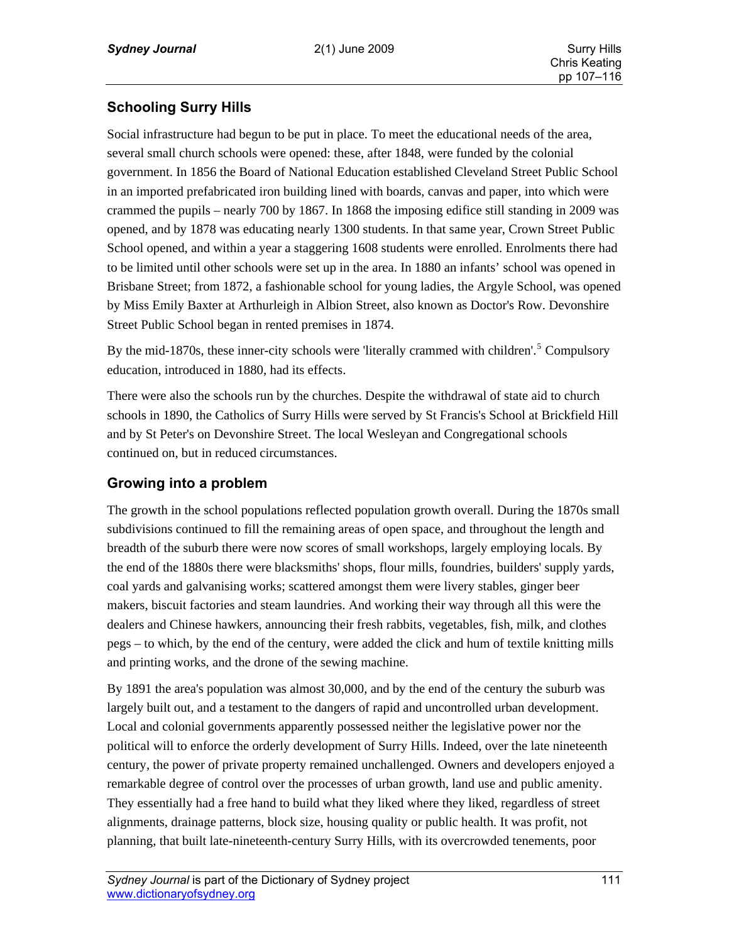# **Schooling Surry Hills**

Social infrastructure had begun to be put in place. To meet the educational needs of the area, several small church schools were opened: these, after 1848, were funded by the colonial government. In 1856 the Board of National Education established Cleveland Street Public School in an imported prefabricated iron building lined with boards, canvas and paper, into which were crammed the pupils – nearly 700 by 1867. In 1868 the imposing edifice still standing in 2009 was opened, and by 1878 was educating nearly 1300 students. In that same year, Crown Street Public School opened, and within a year a staggering 1608 students were enrolled. Enrolments there had to be limited until other schools were set up in the area. In 1880 an infants' school was opened in Brisbane Street; from 1872, a fashionable school for young ladies, the Argyle School, was opened by Miss Emily Baxter at Arthurleigh in Albion Street, also known as Doctor's Row. Devonshire Street Public School began in rented premises in 1874.

By the mid-1870s, these inner-city schools were 'literally crammed with children'.<sup>[5](#page-9-1)</sup> Compulsory education, introduced in 1880, had its effects.

There were also the schools run by the churches. Despite the withdrawal of state aid to church schools in 1890, the Catholics of Surry Hills were served by St Francis's School at Brickfield Hill and by St Peter's on Devonshire Street. The local Wesleyan and Congregational schools continued on, but in reduced circumstances.

# **Growing into a problem**

The growth in the school populations reflected population growth overall. During the 1870s small subdivisions continued to fill the remaining areas of open space, and throughout the length and breadth of the suburb there were now scores of small workshops, largely employing locals. By the end of the 1880s there were blacksmiths' shops, flour mills, foundries, builders' supply yards, coal yards and galvanising works; scattered amongst them were livery stables, ginger beer makers, biscuit factories and steam laundries. And working their way through all this were the dealers and Chinese hawkers, announcing their fresh rabbits, vegetables, fish, milk, and clothes pegs – to which, by the end of the century, were added the click and hum of textile knitting mills and printing works, and the drone of the sewing machine.

By 1891 the area's population was almost 30,000, and by the end of the century the suburb was largely built out, and a testament to the dangers of rapid and uncontrolled urban development. Local and colonial governments apparently possessed neither the legislative power nor the political will to enforce the orderly development of Surry Hills. Indeed, over the late nineteenth century, the power of private property remained unchallenged. Owners and developers enjoyed a remarkable degree of control over the processes of urban growth, land use and public amenity. They essentially had a free hand to build what they liked where they liked, regardless of street alignments, drainage patterns, block size, housing quality or public health. It was profit, not planning, that built late-nineteenth-century Surry Hills, with its overcrowded tenements, poor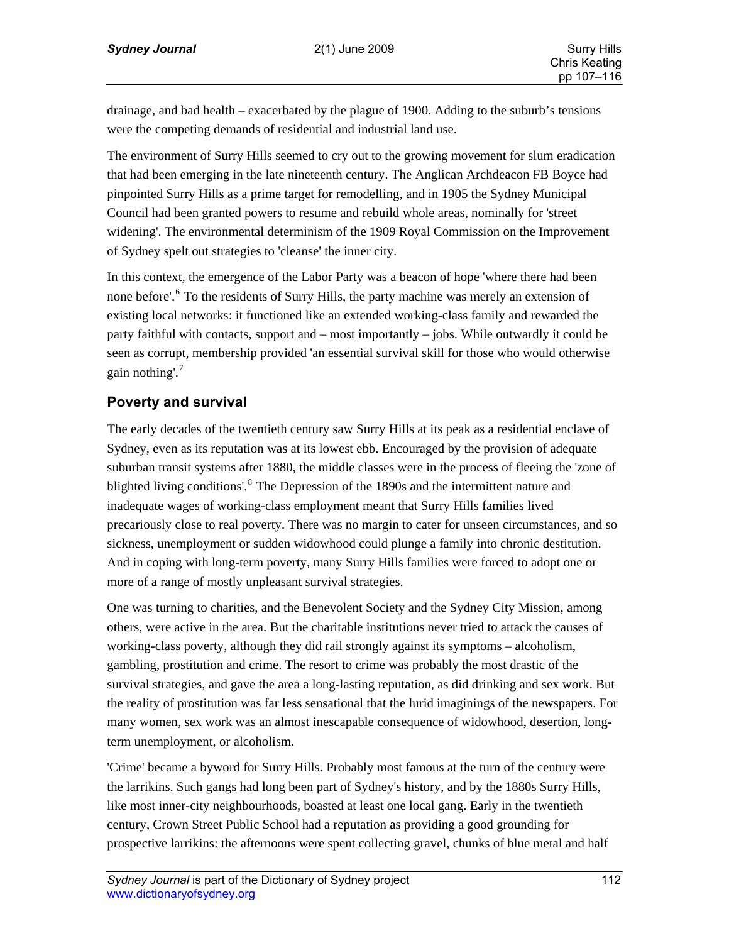drainage, and bad health – exacerbated by the plague of 1900. Adding to the suburb's tensions were the competing demands of residential and industrial land use.

The environment of Surry Hills seemed to cry out to the growing movement for slum eradication that had been emerging in the late nineteenth century. The Anglican Archdeacon FB Boyce had pinpointed Surry Hills as a prime target for remodelling, and in 1905 the Sydney Municipal Council had been granted powers to resume and rebuild whole areas, nominally for 'street widening'. The environmental determinism of the 1909 Royal Commission on the Improvement of Sydney spelt out strategies to 'cleanse' the inner city.

In this context, the emergence of the Labor Party was a beacon of hope 'where there had been none before'.<sup>[6](#page-9-1)</sup> To the residents of Surry Hills, the party machine was merely an extension of existing local networks: it functioned like an extended working-class family and rewarded the party faithful with contacts, support and – most importantly – jobs. While outwardly it could be seen as corrupt, membership provided 'an essential survival skill for those who would otherwise gain nothing'.[7](#page-9-1)

# **Poverty and survival**

The early decades of the twentieth century saw Surry Hills at its peak as a residential enclave of Sydney, even as its reputation was at its lowest ebb. Encouraged by the provision of adequate suburban transit systems after 1880, the middle classes were in the process of fleeing the 'zone of blighted living conditions'.<sup>[8](#page-9-1)</sup> The Depression of the 1890s and the intermittent nature and inadequate wages of working-class employment meant that Surry Hills families lived precariously close to real poverty. There was no margin to cater for unseen circumstances, and so sickness, unemployment or sudden widowhood could plunge a family into chronic destitution. And in coping with long-term poverty, many Surry Hills families were forced to adopt one or more of a range of mostly unpleasant survival strategies.

One was turning to charities, and the Benevolent Society and the Sydney City Mission, among others, were active in the area. But the charitable institutions never tried to attack the causes of working-class poverty, although they did rail strongly against its symptoms – alcoholism, gambling, prostitution and crime. The resort to crime was probably the most drastic of the survival strategies, and gave the area a long-lasting reputation, as did drinking and sex work. But the reality of prostitution was far less sensational that the lurid imaginings of the newspapers. For many women, sex work was an almost inescapable consequence of widowhood, desertion, longterm unemployment, or alcoholism.

'Crime' became a byword for Surry Hills. Probably most famous at the turn of the century were the larrikins. Such gangs had long been part of Sydney's history, and by the 1880s Surry Hills, like most inner-city neighbourhoods, boasted at least one local gang. Early in the twentieth century, Crown Street Public School had a reputation as providing a good grounding for prospective larrikins: the afternoons were spent collecting gravel, chunks of blue metal and half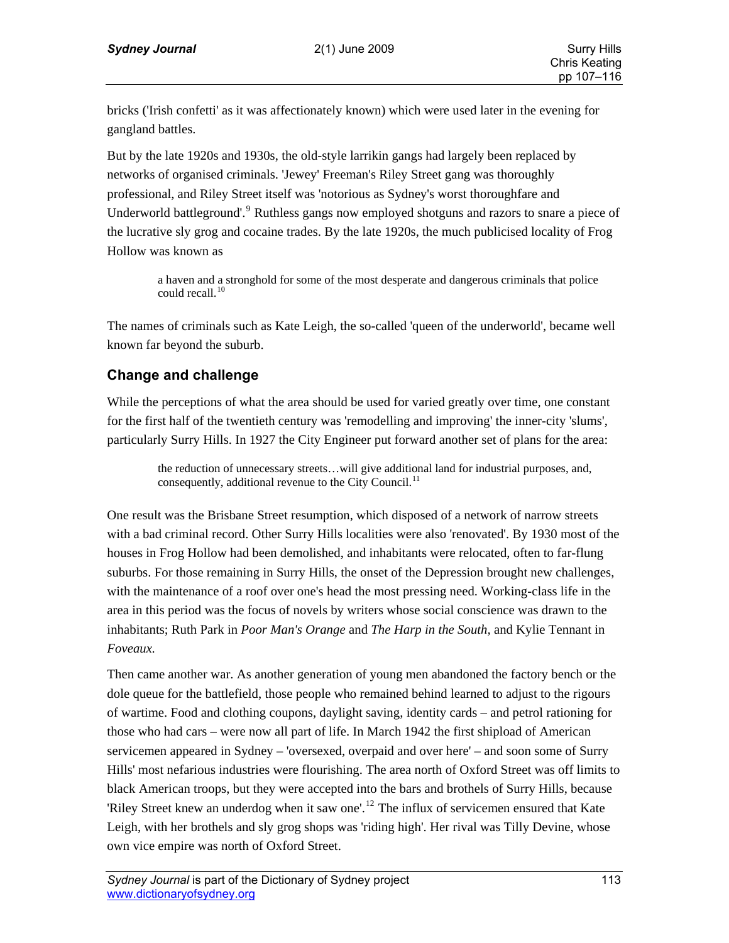**Sydney Journal** 2(1) June 2009 **Sydney Journal** 2009

bricks ('Irish confetti' as it was affectionately known) which were used later in the evening for gangland battles.

But by the late 1920s and 1930s, the old-style larrikin gangs had largely been replaced by networks of organised criminals. 'Jewey' Freeman's Riley Street gang was thoroughly professional, and Riley Street itself was 'notorious as Sydney's worst thoroughfare and Underworld battleground'.<sup>[9](#page-9-1)</sup> Ruthless gangs now employed shotguns and razors to snare a piece of the lucrative sly grog and cocaine trades. By the late 1920s, the much publicised locality of Frog Hollow was known as

a haven and a stronghold for some of the most desperate and dangerous criminals that police could recall.<sup>[10](#page-9-1)</sup>

The names of criminals such as Kate Leigh, the so-called 'queen of the underworld', became well known far beyond the suburb.

#### **Change and challenge**

While the perceptions of what the area should be used for varied greatly over time, one constant for the first half of the twentieth century was 'remodelling and improving' the inner-city 'slums', particularly Surry Hills. In 1927 the City Engineer put forward another set of plans for the area:

> the reduction of unnecessary streets…will give additional land for industrial purposes, and, consequently, additional revenue to the City Council.<sup>[11](#page-9-1)</sup>

One result was the Brisbane Street resumption, which disposed of a network of narrow streets with a bad criminal record. Other Surry Hills localities were also 'renovated'. By 1930 most of the houses in Frog Hollow had been demolished, and inhabitants were relocated, often to far-flung suburbs. For those remaining in Surry Hills, the onset of the Depression brought new challenges, with the maintenance of a roof over one's head the most pressing need. Working-class life in the area in this period was the focus of novels by writers whose social conscience was drawn to the inhabitants; Ruth Park in *Poor Man's Orange* and *The Harp in the South,* and Kylie Tennant in *Foveaux.* 

Then came another war. As another generation of young men abandoned the factory bench or the dole queue for the battlefield, those people who remained behind learned to adjust to the rigours of wartime. Food and clothing coupons, daylight saving, identity cards – and petrol rationing for those who had cars – were now all part of life. In March 1942 the first shipload of American servicemen appeared in Sydney – 'oversexed, overpaid and over here' – and soon some of Surry Hills' most nefarious industries were flourishing. The area north of Oxford Street was off limits to black American troops, but they were accepted into the bars and brothels of Surry Hills, because 'Riley Street knew an underdog when it saw one'.<sup>[12](#page-9-1)</sup> The influx of servicemen ensured that Kate Leigh, with her brothels and sly grog shops was 'riding high'. Her rival was Tilly Devine, whose own vice empire was north of Oxford Street.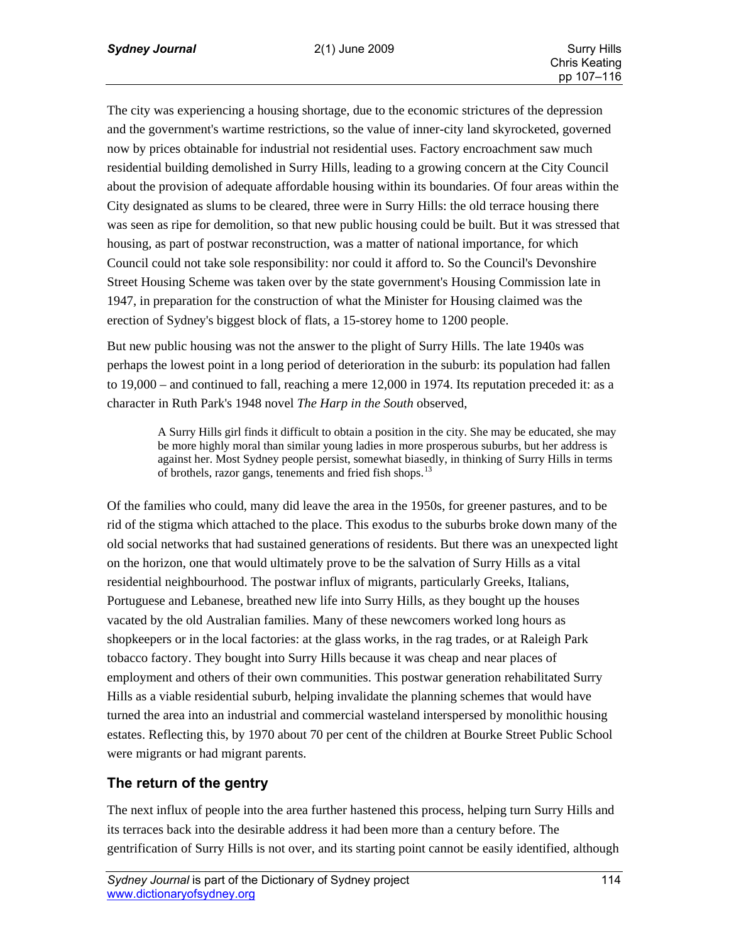The city was experiencing a housing shortage, due to the economic strictures of the depression and the government's wartime restrictions, so the value of inner-city land skyrocketed, governed now by prices obtainable for industrial not residential uses. Factory encroachment saw much residential building demolished in Surry Hills, leading to a growing concern at the City Council about the provision of adequate affordable housing within its boundaries. Of four areas within the City designated as slums to be cleared, three were in Surry Hills: the old terrace housing there was seen as ripe for demolition, so that new public housing could be built. But it was stressed that housing, as part of postwar reconstruction, was a matter of national importance, for which Council could not take sole responsibility: nor could it afford to. So the Council's Devonshire Street Housing Scheme was taken over by the state government's Housing Commission late in 1947, in preparation for the construction of what the Minister for Housing claimed was the erection of Sydney's biggest block of flats, a 15-storey home to 1200 people.

But new public housing was not the answer to the plight of Surry Hills. The late 1940s was perhaps the lowest point in a long period of deterioration in the suburb: its population had fallen to 19,000 – and continued to fall, reaching a mere 12,000 in 1974. Its reputation preceded it: as a character in Ruth Park's 1948 novel *The Harp in the South* observed,

A Surry Hills girl finds it difficult to obtain a position in the city. She may be educated, she may be more highly moral than similar young ladies in more prosperous suburbs, but her address is against her. Most Sydney people persist, somewhat biasedly, in thinking of Surry Hills in terms of brothels, razor gangs, tenements and fried fish shops.<sup>[13](#page-9-1)</sup>

Of the families who could, many did leave the area in the 1950s, for greener pastures, and to be rid of the stigma which attached to the place. This exodus to the suburbs broke down many of the old social networks that had sustained generations of residents. But there was an unexpected light on the horizon, one that would ultimately prove to be the salvation of Surry Hills as a vital residential neighbourhood. The postwar influx of migrants, particularly Greeks, Italians, Portuguese and Lebanese, breathed new life into Surry Hills, as they bought up the houses vacated by the old Australian families. Many of these newcomers worked long hours as shopkeepers or in the local factories: at the glass works, in the rag trades, or at Raleigh Park tobacco factory. They bought into Surry Hills because it was cheap and near places of employment and others of their own communities. This postwar generation rehabilitated Surry Hills as a viable residential suburb, helping invalidate the planning schemes that would have turned the area into an industrial and commercial wasteland interspersed by monolithic housing estates. Reflecting this, by 1970 about 70 per cent of the children at Bourke Street Public School were migrants or had migrant parents.

# **The return of the gentry**

The next influx of people into the area further hastened this process, helping turn Surry Hills and its terraces back into the desirable address it had been more than a century before. The gentrification of Surry Hills is not over, and its starting point cannot be easily identified, although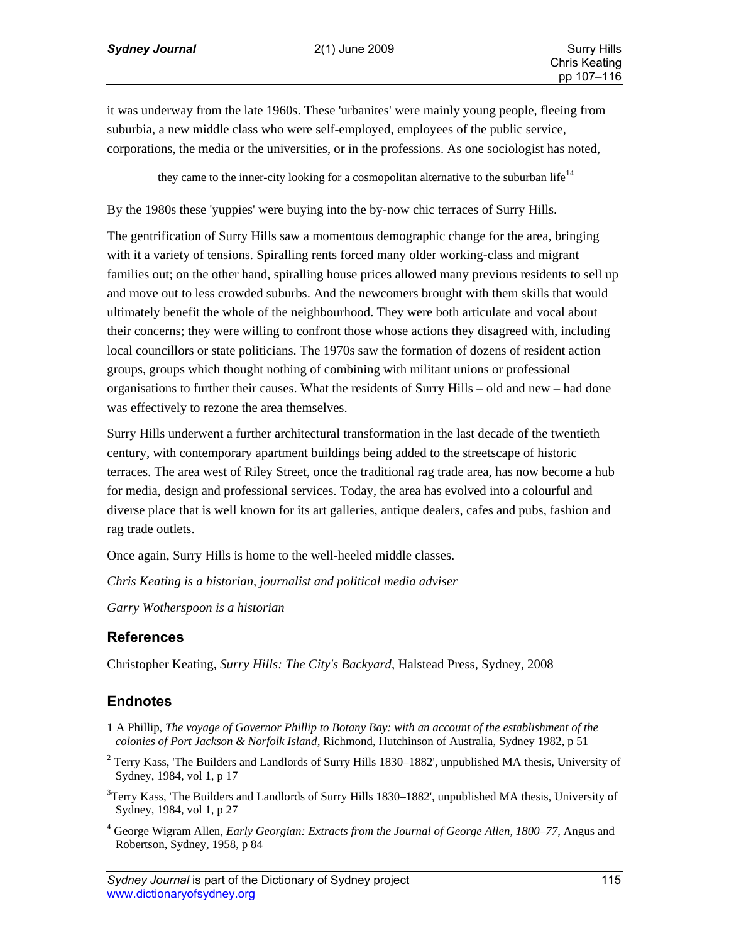it was underway from the late 1960s. These 'urbanites' were mainly young people, fleeing from suburbia, a new middle class who were self-employed, employees of the public service, corporations, the media or the universities, or in the professions. As one sociologist has noted,

they came to the inner-city looking for a cosmopolitan alternative to the suburban life $14$ 

By the 1980s these 'yuppies' were buying into the by-now chic terraces of Surry Hills.

The gentrification of Surry Hills saw a momentous demographic change for the area, bringing with it a variety of tensions. Spiralling rents forced many older working-class and migrant families out; on the other hand, spiralling house prices allowed many previous residents to sell up and move out to less crowded suburbs. And the newcomers brought with them skills that would ultimately benefit the whole of the neighbourhood. They were both articulate and vocal about their concerns; they were willing to confront those whose actions they disagreed with, including local councillors or state politicians. The 1970s saw the formation of dozens of resident action groups, groups which thought nothing of combining with militant unions or professional organisations to further their causes. What the residents of Surry Hills – old and new – had done was effectively to rezone the area themselves.

Surry Hills underwent a further architectural transformation in the last decade of the twentieth century, with contemporary apartment buildings being added to the streetscape of historic terraces. The area west of Riley Street, once the traditional rag trade area, has now become a hub for media, design and professional services. Today, the area has evolved into a colourful and diverse place that is well known for its art galleries, antique dealers, cafes and pubs, fashion and rag trade outlets.

Once again, Surry Hills is home to the well-heeled middle classes.

*Chris Keating is a historian, journalist and political media adviser* 

*Garry Wotherspoon is a historian* 

#### **References**

Christopher Keating, *Surry Hills: The City's Backyard*, Halstead Press, Sydney, 2008

## **Endnotes**

- 1 A Phillip[,](http://library.sl.nsw.gov.au/search?/Xa:arthur%20phillip&searchscope=2&SORT=D/Xa:arthur%20phillip&searchscope=2&SORT=D&SUBKEY=a%3Aarthur%20phillip/1%2C53%2C53%2CE/frameset&FF=Xa:arthur%20phillip&searchscope=2&SORT=D&8%2C8%2C) *The voyage of Governor Phillip to Botany Bay: with an account of the establishment of the colonies of Port Jackson & Norfolk Island*, Richmond, Hutchinson of Australia, Sydney 1982, p 51
- $2$  Terry Kass, 'The Builders and Landlords of Surry Hills 1830–1882', unpublished MA thesis, University of Sydney, 1984, vol 1, p 17
- <sup>3</sup>Terry Kass, 'The Builders and Landlords of Surry Hills 1830–1882', unpublished MA thesis, University of Sydney, 1984, vol 1, p 27
- 4 George Wigram Allen, *Early Georgian: Extracts from the Journal of George Allen, 1800–77*, Angus and Robertson, Sydney, 1958, p 84